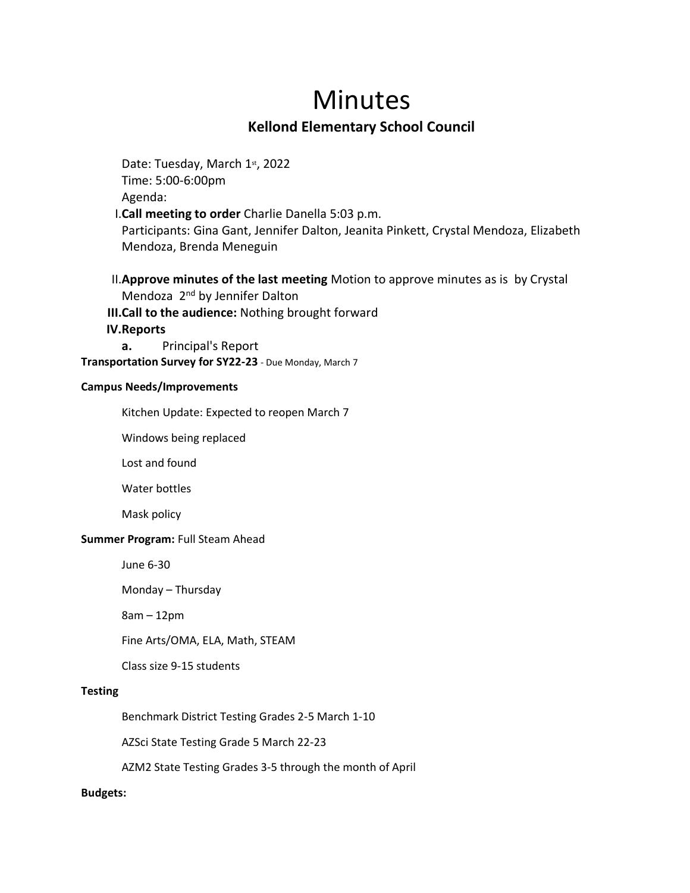# Minutes

## **Kellond Elementary School Council**

Date: Tuesday, March 1st, 2022 Time: 5:00-6:00pm Agenda: I.**Call meeting to order** Charlie Danella 5:03 p.m. Participants: Gina Gant, Jennifer Dalton, Jeanita Pinkett, Crystal Mendoza, Elizabeth Mendoza, Brenda Meneguin

II.**Approve minutes of the last meeting** Motion to approve minutes as is by Crystal Mendoza 2<sup>nd</sup> by Jennifer Dalton **III.Call to the audience:** Nothing brought forward

**IV.Reports**

**a.** Principal's Report

**Transportation Survey for SY22-23** - Due Monday, March 7

#### **Campus Needs/Improvements**

Kitchen Update: Expected to reopen March 7

Windows being replaced

Lost and found

Water bottles

Mask policy

#### **Summer Program: Full Steam Ahead**

June 6-30

Monday – Thursday

8am – 12pm

Fine Arts/OMA, ELA, Math, STEAM

Class size 9-15 students

#### **Testing**

Benchmark District Testing Grades 2-5 March 1-10

AZSci State Testing Grade 5 March 22-23

AZM2 State Testing Grades 3-5 through the month of April

#### **Budgets:**